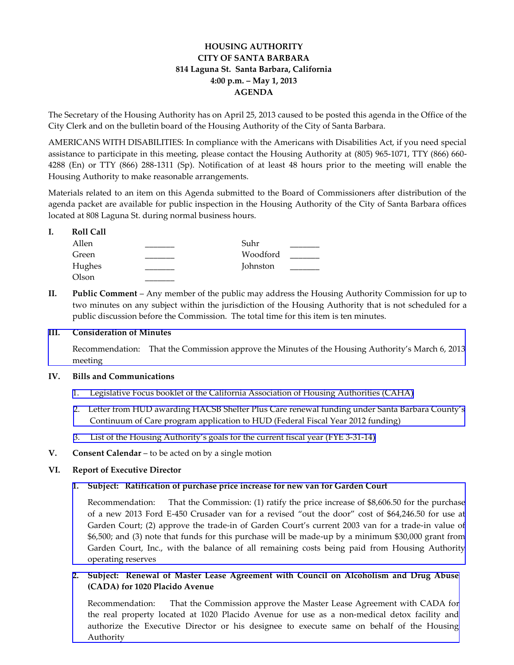# **HOUSING AUTHORITY CITY OF SANTA BARBARA 814 Laguna St. Santa Barbara, California 4:00 p.m. – May 1, 2013 AGENDA**

The Secretary of the Housing Authority has on April 25, 2013 caused to be posted this agenda in the Office of the City Clerk and on the bulletin board of the Housing Authority of the City of Santa Barbara.

AMERICANS WITH DISABILITIES: In compliance with the Americans with Disabilities Act, if you need special assistance to participate in this meeting, please contact the Housing Authority at (805) 965-1071, TTY (866) 660- 4288 (En) or TTY (866) 288-1311 (Sp). Notification of at least 48 hours prior to the meeting will enable the Housing Authority to make reasonable arrangements.

Materials related to an item on this Agenda submitted to the Board of Commissioners after distribution of the agenda packet are available for public inspection in the Housing Authority of the City of Santa Barbara offices located at 808 Laguna St. during normal business hours.

| <b>Roll Call</b> |          |  |
|------------------|----------|--|
| Allen            | Suhr     |  |
| Green            | Woodford |  |
| Hughes           | Johnston |  |
| Olson            |          |  |

**II. Public Comment** – Any member of the public may address the Housing Authority Commission for up to two minutes on any subject within the jurisdiction of the Housing Authority that is not scheduled for a public discussion before the Commission. The total time for this item is ten minutes.

### **III. Consideration of Minutes**

[Recommendation: That the Commission approve the Minutes of](http://www.hacsb.org/Library/agendas_minutes/2013/agenda_packet/Agenda_Packet_2013_05_01/item_III_I_2013_05_01.pdf) the Housing Authority's March 6, 2013 meeting

#### **IV. Bills and Communications**

- 1. Legislative Focus booklet [of the California Association of Housing Authorities \(CAHA\)](http://www.hacsb.org/Library/agendas_minutes/2013/agenda_packet/Agenda_Packet_2013_05_01/item_IV_I_2013_05_01.pdf)
- 2. Letter from HUD award[ing HACSB Shelter Plus Care renewal funding under Santa Barbara County's](http://www.hacsb.org/Library/agendas_minutes/2013/agenda_packet/Agenda_Packet_2013_05_01/item_IV_II_2013_05_01.pdf) Continuum of Care program application to HUD (Federal Fiscal Year 2012 funding)
- 3. List of the Housing Authority's g[oals for the current fiscal year](http://www.hacsb.org/Library/agendas_minutes/2013/agenda_packet/Agenda_Packet_2013_05_01/item_IV_III_2013_05_01.pdf) (FYE 3-31-14)
- **V. Consent Calendar** to be acted on by a single motion

## **VI. Report of Executive Director**

## **1. Subject: Ratification of purchase price increase for new van for Garden Court**

[Recommendation: That the Commission: \(1\) ratify the price increase of \\$8,606.50 for the purchase](http://www.hacsb.org/Library/agendas_minutes/2013/agenda_packet/Agenda_Packet_2013_05_01/item_VI_I_2013_05_01.pdf)  of a new 2013 Ford E-450 Crusader van for a revised "out the door" cost of \$64,246.50 for use at Garden Court; (2) approve the trade-in of Garden Court's current 2003 van for a trade-in value of \$6,500; and (3) note that funds for this purchase will be made-up by a minimum \$30,000 grant from Garden Court, Inc., with the balance of all remaining costs being paid from Housing Authority operating reserves

# **2. Subject: Renewal of Master Lease Agreement with Council on Alcoholism and Drug Abuse (CADA) for 1020 Placido Avenue**

Recommendation: That the Commission approve the Master Lease Agreement with CADA for the real property located at 1020 Placido Avenue for use as a non-medical detox facility and [authorize the Executive Director or his designee to execute same on behalf of the Housing](http://www.hacsb.org/Library/agendas_minutes/2013/agenda_packet/Agenda_Packet_2013_05_01/item_VI_II_2013_05_01.pdf)  Authority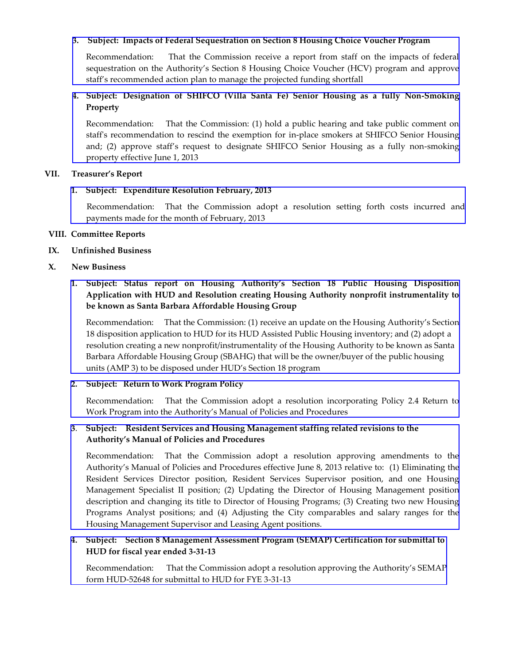### **3. Subject: Impacts of Federal Sequestration on Section 8 Housing Choice Voucher Program**

 [Recommendation: That the Commission receive a report from staff on the impacts of federal](http://www.hacsb.org/Library/agendas_minutes/2013/agenda_packet/Agenda_Packet_2013_05_01/item_VI_III_2013_05_01.pdf) sequestration on the Authority's Section 8 Housing Choice Voucher (HCV) program and approve staff's recommended action plan to manage the projected funding shortfall

# **4. Subject: Designation of SHIFCO (Villa Santa Fe) Senior Housing as a fully Non-Smoking Property**

[Recommendation: That the Commission: \(1\) hold a public hearing and take public comment on](http://www.hacsb.org/Library/agendas_minutes/2013/agenda_packet/Agenda_Packet_2013_05_01/item_VI_IV_2013_05_01.pdf)  staff's recommendation to rescind the exemption for in-place smokers at SHIFCO Senior Housing and; (2) approve staff's request to designate SHIFCO Senior Housing as a fully non-smoking property effective June 1, 2013

### **VII. Treasurer's Report**

## **1. Subject: Expenditure Resolution February, 2013**

 [Recommendation: That the Commission adopt a resolution setting forth costs incurred and](http://www.hacsb.org/Library/agendas_minutes/2013/agenda_packet/Agenda_Packet_2013_05_01/item_VII_I_2013_05_01.pdf) payments made for the month of February, 2013

## **VIII. Committee Reports**

**IX. Unfinished Business**

### **X. New Business**

# **1. Subject: Status report on Housing Authority's Section 18 Public Housing Disposition Application with HUD and Resolution creating Housing Authority nonprofit instrumentality to be known as Santa Barbara Affordable Housing Group**

Recommendation: That the Commission: (1) receive an update on the Housing Authority's Section 18 disposition application to HUD for its HUD Assisted Public Housing inventory; and (2) adopt a [resolution creating a new nonprofit/instrumentality of the Housing Authority to be known as Santa](http://www.hacsb.org/Library/agendas_minutes/2013/agenda_packet/Agenda_Packet_2013_05_01/item_X_I_2013_05_01.pdf)  Barbara Affordable Housing Group (SBAHG) that will be the owner/buyer of the public housing units (AMP 3) to be disposed under HUD's Section 18 program

## **2. Subject: Return to Work Program Policy**

[Recommendation: That the Commission adopt a resolution incorporating Policy 2.4 Return to](http://www.hacsb.org/Library/agendas_minutes/2013/agenda_packet/Agenda_Packet_2013_05_01/item_X_II_2013_05_01.pdf) Work Program into the Authority's Manual of Policies and Procedures

# **3**. **Subject: Resident Services and Housing Management staffing related revisions to the Authority's Manual of Policies and Procedures**

Recommendation: That the Commission adopt a resolution approving amendments to the Authority's Manual of Policies and Procedures effective June 8, 2013 relative to: (1) Eliminating the [Resident Services Director position, Resident Services Supervisor position, and one Housing](http://www.hacsb.org/Library/agendas_minutes/2013/agenda_packet/Agenda_Packet_2013_05_01/item_X_III_2013_05_01.pdf) Management Specialist II position; (2) Updating the Director of Housing Management position description and changing its title to Director of Housing Programs; (3) Creating two new Housing Programs Analyst positions; and (4) Adjusting the City comparables and salary ranges for the Housing Management Supervisor and Leasing Agent positions.

## **4. Subject: [Section 8 Management Assessment Program \(SEMAP\) Certification for submittal to](http://www.hacsb.org/Library/agendas_minutes/2013/agenda_packet/Agenda_Packet_2013_05_01/item_X_IV_2013_05_01.pdf)  HUD for fiscal year ended 3-31-13**

Recommendation: That the Commission adopt a resolution approving the Authority's SEMAP form HUD-52648 for submittal to HUD for FYE 3-31-13